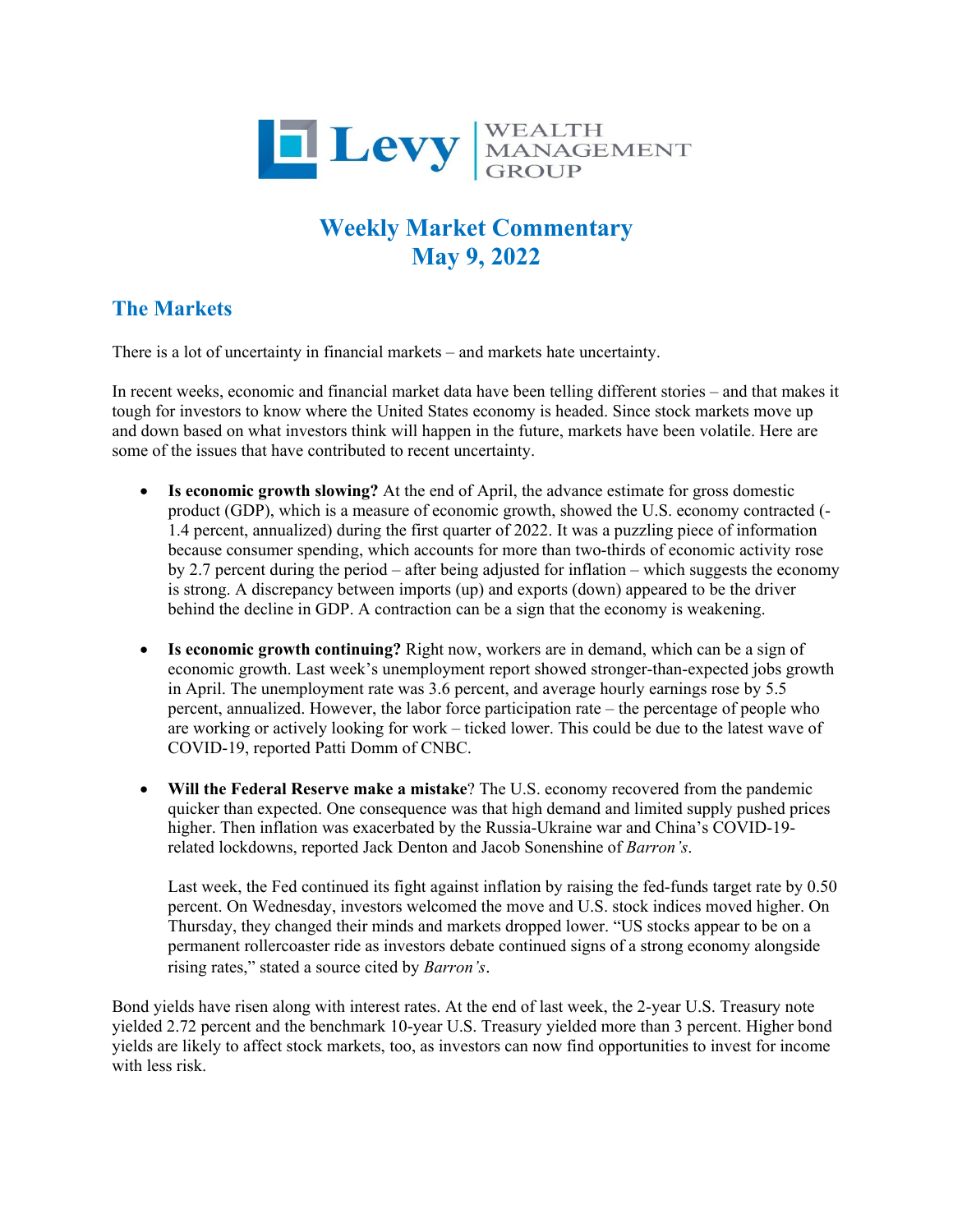

## **Weekly Market Commentary May 9, 2022**

## **The Markets**

There is a lot of uncertainty in financial markets – and markets hate uncertainty.

In recent weeks, economic and financial market data have been telling different stories – and that makes it tough for investors to know where the United States economy is headed. Since stock markets move up and down based on what investors think will happen in the future, markets have been volatile. Here are some of the issues that have contributed to recent uncertainty.

- **Is economic growth slowing?** At the end of April, the advance estimate for gross domestic product (GDP), which is a measure of economic growth, showed the U.S. economy contracted (- 1.4 percent, annualized) during the first quarter of 2022. It was a puzzling piece of information because consumer spending, which accounts for more than two-thirds of economic activity rose by 2.7 percent during the period – after being adjusted for inflation – which suggests the economy is strong. A discrepancy between imports (up) and exports (down) appeared to be the driver behind the decline in GDP. A contraction can be a sign that the economy is weakening.
- **Is economic growth continuing?** Right now, workers are in demand, which can be a sign of economic growth. Last week's unemployment report showed stronger-than-expected jobs growth in April. The unemployment rate was 3.6 percent, and average hourly earnings rose by 5.5 percent, annualized. However, the labor force participation rate – the percentage of people who are working or actively looking for work – ticked lower. This could be due to the latest wave of COVID-19, reported Patti Domm of CNBC.
- **Will the Federal Reserve make a mistake**? The U.S. economy recovered from the pandemic quicker than expected. One consequence was that high demand and limited supply pushed prices higher. Then inflation was exacerbated by the Russia-Ukraine war and China's COVID-19 related lockdowns, reported Jack Denton and Jacob Sonenshine of *Barron's*.

Last week, the Fed continued its fight against inflation by raising the fed-funds target rate by 0.50 percent. On Wednesday, investors welcomed the move and U.S. stock indices moved higher. On Thursday, they changed their minds and markets dropped lower. "US stocks appear to be on a permanent rollercoaster ride as investors debate continued signs of a strong economy alongside rising rates," stated a source cited by *Barron's*.

Bond yields have risen along with interest rates. At the end of last week, the 2-year U.S. Treasury note yielded 2.72 percent and the benchmark 10-year U.S. Treasury yielded more than 3 percent. Higher bond yields are likely to affect stock markets, too, as investors can now find opportunities to invest for income with less risk.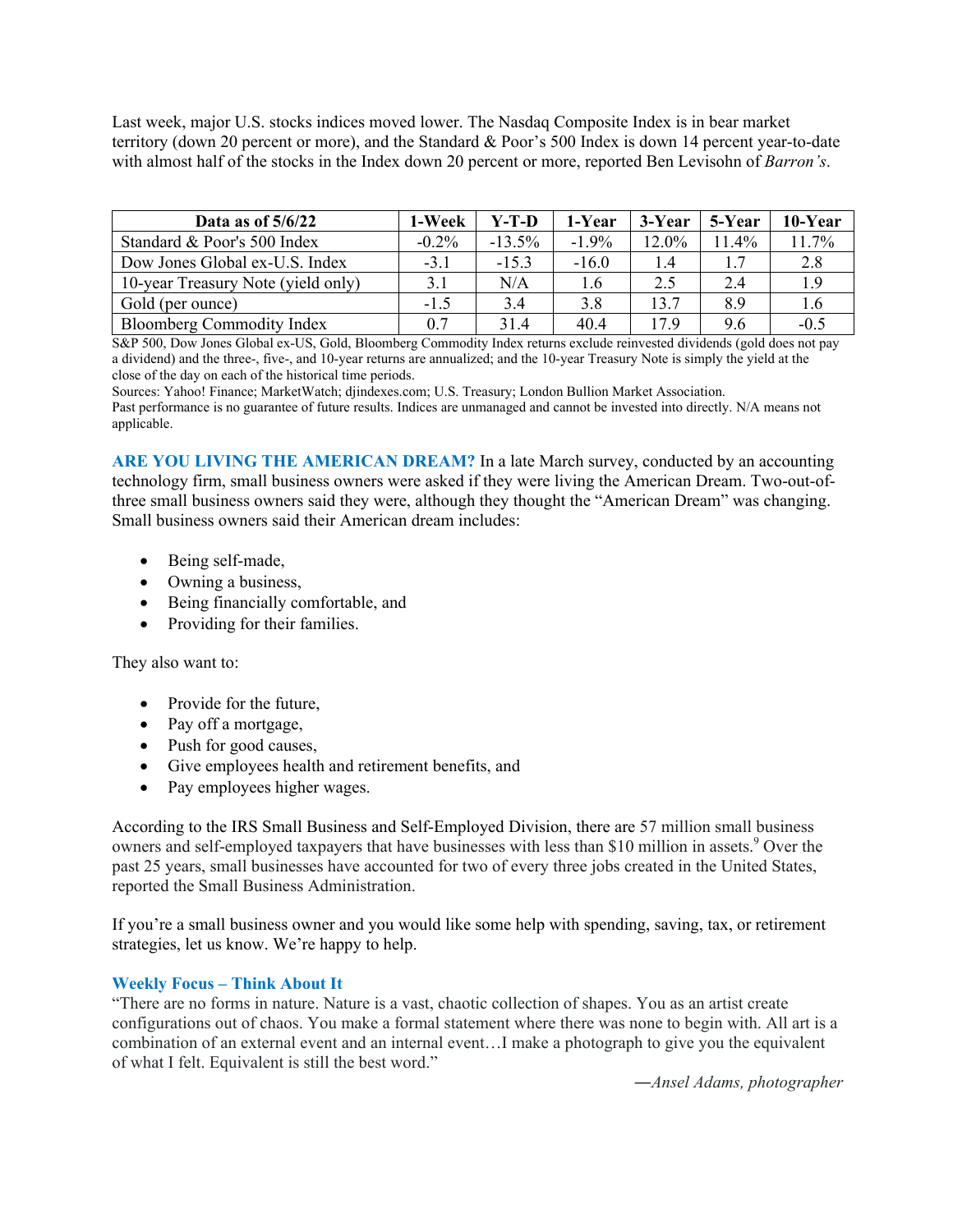Last week, major U.S. stocks indices moved lower. The Nasdaq Composite Index is in bear market territory (down 20 percent or more), and the Standard & Poor's 500 Index is down 14 percent year-to-date with almost half of the stocks in the Index down 20 percent or more, reported Ben Levisohn of *Barron's*.

| Data as of $5/6/22$                | 1-Week   | Y-T-D    | 1-Year   | 3-Year | 5-Year | 10-Year |
|------------------------------------|----------|----------|----------|--------|--------|---------|
| Standard & Poor's 500 Index        | $-0.2\%$ | $-13.5%$ | $-1.9\%$ | 12.0%  | 11.4%  | 11.7%   |
| Dow Jones Global ex-U.S. Index     | $-3.1$   | $-15.3$  | $-16.0$  | 1.4    |        | 2.8     |
| 10-year Treasury Note (yield only) | 3.1      | N/A      | 1.6      | 2.5    | 2.4    | 1.9     |
| Gold (per ounce)                   | $-1.5$   | 3.4      | 3.8      | 13.7   | 8.9    | 1.6     |
| <b>Bloomberg Commodity Index</b>   | 0.7      | 31.4     | 40.4     | 17.9   | 9.6    | $-0.5$  |

S&P 500, Dow Jones Global ex-US, Gold, Bloomberg Commodity Index returns exclude reinvested dividends (gold does not pay a dividend) and the three-, five-, and 10-year returns are annualized; and the 10-year Treasury Note is simply the yield at the close of the day on each of the historical time periods.

Sources: Yahoo! Finance; MarketWatch; djindexes.com; U.S. Treasury; London Bullion Market Association. Past performance is no guarantee of future results. Indices are unmanaged and cannot be invested into directly. N/A means not applicable.

**ARE YOU LIVING THE AMERICAN DREAM?** In a late March survey, conducted by an accounting technology firm, small business owners were asked if they were living the American Dream. Two-out-ofthree small business owners said they were, although they thought the "American Dream" was changing. Small business owners said their American dream includes:

- Being self-made,
- Owning a business,
- Being financially comfortable, and
- Providing for their families.

They also want to:

- Provide for the future,
- Pay off a mortgage,
- Push for good causes,
- Give employees health and retirement benefits, and
- Pay employees higher wages.

According to the IRS Small Business and Self-Employed Division, there are 57 million small business owners and self-employed taxpayers that have businesses with less than \$10 million in assets.<sup>9</sup> Over the past 25 years, small businesses have accounted for two of every three jobs created in the United States, reported the Small Business Administration.

If you're a small business owner and you would like some help with spending, saving, tax, or retirement strategies, let us know. We're happy to help.

## **Weekly Focus – Think About It**

"There are no forms in nature. Nature is a vast, chaotic collection of shapes. You as an artist create configurations out of chaos. You make a formal statement where there was none to begin with. All art is a combination of an external event and an internal event…I make a photograph to give you the equivalent of what I felt. Equivalent is still the best word."

*―Ansel Adams, photographer*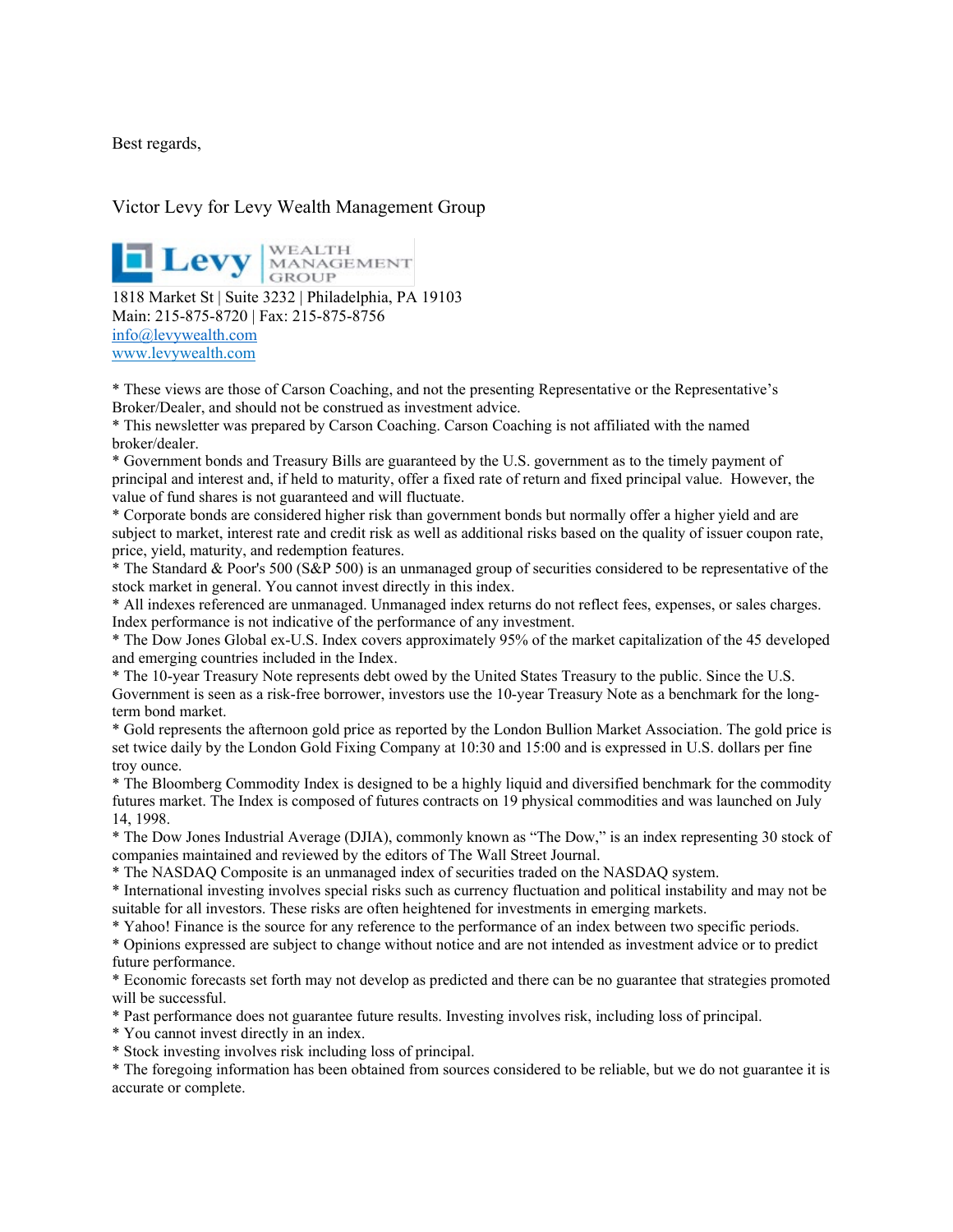Best regards,

## Victor Levy for Levy Wealth Management Group

**1818 Market St | Suite 3232** | Philadelphia, PA 19103

Main: 215-875-8720 | Fax: 215-875-8756 [info@levywealth.com](mailto:info@levywealth.com) [www.levywealth.com](http://www.levywealth.com/)

\* These views are those of Carson Coaching, and not the presenting Representative or the Representative's Broker/Dealer, and should not be construed as investment advice.

\* This newsletter was prepared by Carson Coaching. Carson Coaching is not affiliated with the named broker/dealer.

\* Government bonds and Treasury Bills are guaranteed by the U.S. government as to the timely payment of principal and interest and, if held to maturity, offer a fixed rate of return and fixed principal value. However, the value of fund shares is not guaranteed and will fluctuate.

\* Corporate bonds are considered higher risk than government bonds but normally offer a higher yield and are subject to market, interest rate and credit risk as well as additional risks based on the quality of issuer coupon rate, price, yield, maturity, and redemption features.

\* The Standard & Poor's 500 (S&P 500) is an unmanaged group of securities considered to be representative of the stock market in general. You cannot invest directly in this index.

\* All indexes referenced are unmanaged. Unmanaged index returns do not reflect fees, expenses, or sales charges. Index performance is not indicative of the performance of any investment.

\* The Dow Jones Global ex-U.S. Index covers approximately 95% of the market capitalization of the 45 developed and emerging countries included in the Index.

\* The 10-year Treasury Note represents debt owed by the United States Treasury to the public. Since the U.S. Government is seen as a risk-free borrower, investors use the 10-year Treasury Note as a benchmark for the longterm bond market.

\* Gold represents the afternoon gold price as reported by the London Bullion Market Association. The gold price is set twice daily by the London Gold Fixing Company at 10:30 and 15:00 and is expressed in U.S. dollars per fine troy ounce.

\* The Bloomberg Commodity Index is designed to be a highly liquid and diversified benchmark for the commodity futures market. The Index is composed of futures contracts on 19 physical commodities and was launched on July 14, 1998.

\* The Dow Jones Industrial Average (DJIA), commonly known as "The Dow," is an index representing 30 stock of companies maintained and reviewed by the editors of The Wall Street Journal.

\* The NASDAQ Composite is an unmanaged index of securities traded on the NASDAQ system.

\* International investing involves special risks such as currency fluctuation and political instability and may not be suitable for all investors. These risks are often heightened for investments in emerging markets.

\* Yahoo! Finance is the source for any reference to the performance of an index between two specific periods.

\* Opinions expressed are subject to change without notice and are not intended as investment advice or to predict future performance.

\* Economic forecasts set forth may not develop as predicted and there can be no guarantee that strategies promoted will be successful.

\* Past performance does not guarantee future results. Investing involves risk, including loss of principal.

\* You cannot invest directly in an index.

\* Stock investing involves risk including loss of principal.

\* The foregoing information has been obtained from sources considered to be reliable, but we do not guarantee it is accurate or complete.